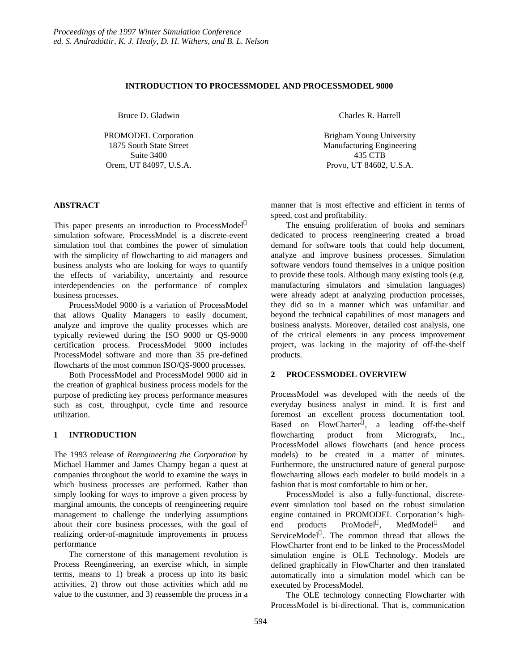# **INTRODUCTION TO PROCESSMODEL AND PROCESSMODEL 9000**

Bruce D. Gladwin

PROMODEL Corporation 1875 South State Street Suite 3400 Orem, UT 84097, U.S.A.

#### **ABSTRACT**

This paper presents an introduction to ProcessModel<sup>®</sup> simulation software. ProcessModel is a discrete-event simulation tool that combines the power of simulation with the simplicity of flowcharting to aid managers and business analysts who are looking for ways to quantify the effects of variability, uncertainty and resource interdependencies on the performance of complex business processes.

ProcessModel 9000 is a variation of ProcessModel that allows Quality Managers to easily document, analyze and improve the quality processes which are typically reviewed during the ISO 9000 or QS-9000 certification process. ProcessModel 9000 includes ProcessModel software and more than 35 pre-defined flowcharts of the most common ISO/QS-9000 processes.

Both ProcessModel and ProcessModel 9000 aid in the creation of graphical business process models for the purpose of predicting key process performance measures such as cost, throughput, cycle time and resource utilization.

# **1 INTRODUCTION**

The 1993 release of *Reengineering the Corporation* by Michael Hammer and James Champy began a quest at companies throughout the world to examine the ways in which business processes are performed. Rather than simply looking for ways to improve a given process by marginal amounts, the concepts of reengineering require management to challenge the underlying assumptions about their core business processes, with the goal of realizing order-of-magnitude improvements in process performance

The cornerstone of this management revolution is Process Reengineering, an exercise which, in simple terms, means to 1) break a process up into its basic activities, 2) throw out those activities which add no value to the customer, and 3) reassemble the process in a Charles R. Harrell

Brigham Young University Manufacturing Engineering 435 CTB Provo, UT 84602, U.S.A.

manner that is most effective and efficient in terms of speed, cost and profitability.

The ensuing proliferation of books and seminars dedicated to process reengineering created a broad demand for software tools that could help document, analyze and improve business processes. Simulation software vendors found themselves in a unique position to provide these tools. Although many existing tools (e.g. manufacturing simulators and simulation languages) were already adept at analyzing production processes, they did so in a manner which was unfamiliar and beyond the technical capabilities of most managers and business analysts. Moreover, detailed cost analysis, one of the critical elements in any process improvement project, was lacking in the majority of off-the-shelf products.

# **2 PROCESSMODEL OVERVIEW**

ProcessModel was developed with the needs of the everyday business analyst in mind. It is first and foremost an excellent process documentation tool. Based on FlowCharter<sup>®</sup>, a leading off-the-shelf flowcharting product from Micrografx, Inc., ProcessModel allows flowcharts (and hence process models) to be created in a matter of minutes. Furthermore, the unstructured nature of general purpose flowcharting allows each modeler to build models in a fashion that is most comfortable to him or her.

ProcessModel is also a fully-functional, discreteevent simulation tool based on the robust simulation engine contained in PROMODEL Corporation's highend products ProModel®, MedModel<sup>®</sup> and ServiceModel<sup>®</sup>. The common thread that allows the FlowCharter front end to be linked to the ProcessModel simulation engine is OLE Technology. Models are defined graphically in FlowCharter and then translated automatically into a simulation model which can be executed by ProcessModel.

The OLE technology connecting Flowcharter with ProcessModel is bi-directional. That is, communication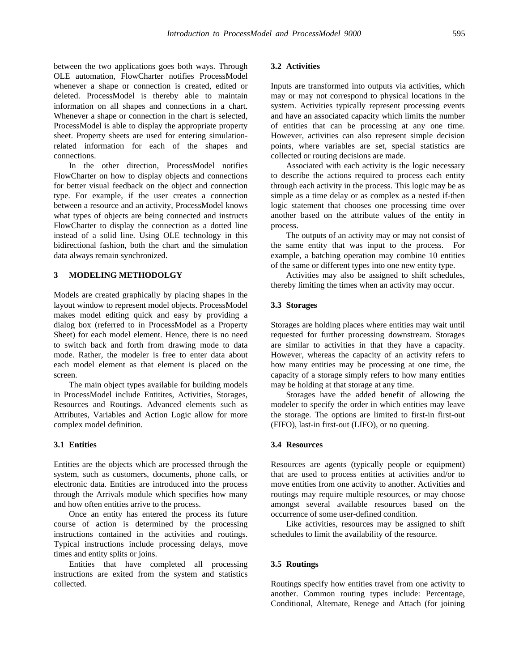between the two applications goes both ways. Through OLE automation, FlowCharter notifies ProcessModel whenever a shape or connection is created, edited or deleted. ProcessModel is thereby able to maintain information on all shapes and connections in a chart. Whenever a shape or connection in the chart is selected, ProcessModel is able to display the appropriate property sheet. Property sheets are used for entering simulationrelated information for each of the shapes and connections.

In the other direction, ProcessModel notifies FlowCharter on how to display objects and connections for better visual feedback on the object and connection type. For example, if the user creates a connection between a resource and an activity, ProcessModel knows what types of objects are being connected and instructs FlowCharter to display the connection as a dotted line instead of a solid line. Using OLE technology in this bidirectional fashion, both the chart and the simulation data always remain synchronized.

# **3 MODELING METHODOLGY**

Models are created graphically by placing shapes in the layout window to represent model objects. ProcessModel makes model editing quick and easy by providing a dialog box (referred to in ProcessModel as a Property Sheet) for each model element. Hence, there is no need to switch back and forth from drawing mode to data mode. Rather, the modeler is free to enter data about each model element as that element is placed on the screen.

The main object types available for building models in ProcessModel include Entitites, Activities, Storages, Resources and Routings. Advanced elements such as Attributes, Variables and Action Logic allow for more complex model definition.

#### **3.1 Entities**

Entities are the objects which are processed through the system, such as customers, documents, phone calls, or electronic data. Entities are introduced into the process through the Arrivals module which specifies how many and how often entities arrive to the process.

Once an entity has entered the process its future course of action is determined by the processing instructions contained in the activities and routings. Typical instructions include processing delays, move times and entity splits or joins.

Entities that have completed all processing instructions are exited from the system and statistics collected.

## **3.2 Activities**

Inputs are transformed into outputs via activities, which may or may not correspond to physical locations in the system. Activities typically represent processing events and have an associated capacity which limits the number of entities that can be processing at any one time. However, activities can also represent simple decision points, where variables are set, special statistics are collected or routing decisions are made.

Associated with each activity is the logic necessary to describe the actions required to process each entity through each activity in the process. This logic may be as simple as a time delay or as complex as a nested if-then logic statement that chooses one processing time over another based on the attribute values of the entity in process.

The outputs of an activity may or may not consist of the same entity that was input to the process. For example, a batching operation may combine 10 entities of the same or different types into one new entity type.

Activities may also be assigned to shift schedules, thereby limiting the times when an activity may occur.

#### **3.3 Storages**

Storages are holding places where entities may wait until requested for further processing downstream. Storages are similar to activities in that they have a capacity. However, whereas the capacity of an activity refers to how many entities may be processing at one time, the capacity of a storage simply refers to how many entities may be holding at that storage at any time.

Storages have the added benefit of allowing the modeler to specify the order in which entities may leave the storage. The options are limited to first-in first-out (FIFO), last-in first-out (LIFO), or no queuing.

#### **3.4 Resources**

Resources are agents (typically people or equipment) that are used to process entities at activities and/or to move entities from one activity to another. Activities and routings may require multiple resources, or may choose amongst several available resources based on the occurrence of some user-defined condition.

Like activities, resources may be assigned to shift schedules to limit the availability of the resource.

#### **3.5 Routings**

Routings specify how entities travel from one activity to another. Common routing types include: Percentage, Conditional, Alternate, Renege and Attach (for joining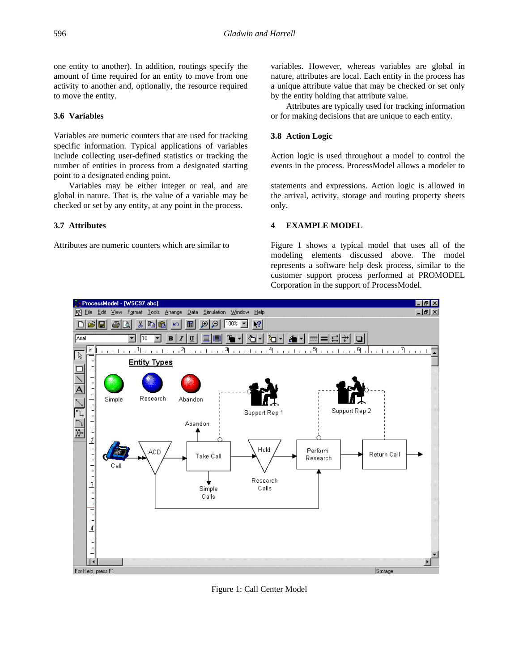one entity to another). In addition, routings specify the amount of time required for an entity to move from one activity to another and, optionally, the resource required to move the entity.

# **3.6 Variables**

Variables are numeric counters that are used for tracking specific information. Typical applications of variables include collecting user-defined statistics or tracking the number of entities in process from a designated starting point to a designated ending point.

Variables may be either integer or real, and are global in nature. That is, the value of a variable may be checked or set by any entity, at any point in the process.

# **3.7 Attributes**

Attributes are numeric counters which are similar to

variables. However, whereas variables are global in nature, attributes are local. Each entity in the process has a unique attribute value that may be checked or set only by the entity holding that attribute value.

Attributes are typically used for tracking information or for making decisions that are unique to each entity.

# **3.8 Action Logic**

Action logic is used throughout a model to control the events in the process. ProcessModel allows a modeler to

statements and expressions. Action logic is allowed in the arrival, activity, storage and routing property sheets only.

# **4 EXAMPLE MODEL**

Figure 1 shows a typical model that uses all of the modeling elements discussed above. The model represents a software help desk process, similar to the customer support process performed at PROMODEL Corporation in the support of ProcessModel.



Figure 1: Call Center Model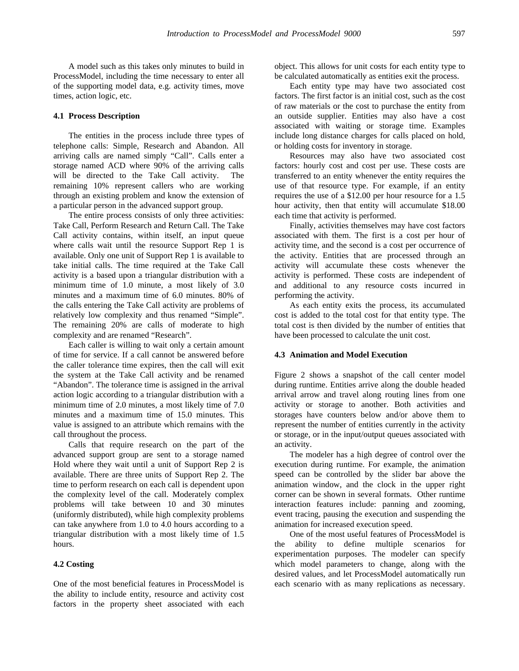A model such as this takes only minutes to build in ProcessModel, including the time necessary to enter all of the supporting model data, e.g. activity times, move times, action logic, etc.

#### **4.1 Process Description**

The entities in the process include three types of telephone calls: Simple, Research and Abandon. All arriving calls are named simply "Call". Calls enter a storage named ACD where 90% of the arriving calls will be directed to the Take Call activity. The remaining 10% represent callers who are working through an existing problem and know the extension of a particular person in the advanced support group.

The entire process consists of only three activities: Take Call, Perform Research and Return Call. The Take Call activity contains, within itself, an input queue where calls wait until the resource Support Rep 1 is available. Only one unit of Support Rep 1 is available to take initial calls. The time required at the Take Call activity is a based upon a triangular distribution with a minimum time of 1.0 minute, a most likely of 3.0 minutes and a maximum time of 6.0 minutes. 80% of the calls entering the Take Call activity are problems of relatively low complexity and thus renamed "Simple". The remaining 20% are calls of moderate to high complexity and are renamed "Research".

Each caller is willing to wait only a certain amount of time for service. If a call cannot be answered before the caller tolerance time expires, then the call will exit the system at the Take Call activity and be renamed "Abandon". The tolerance time is assigned in the arrival action logic according to a triangular distribution with a minimum time of 2.0 minutes, a most likely time of 7.0 minutes and a maximum time of 15.0 minutes. This value is assigned to an attribute which remains with the call throughout the process.

Calls that require research on the part of the advanced support group are sent to a storage named Hold where they wait until a unit of Support Rep 2 is available. There are three units of Support Rep 2. The time to perform research on each call is dependent upon the complexity level of the call. Moderately complex problems will take between 10 and 30 minutes (uniformly distributed), while high complexity problems can take anywhere from 1.0 to 4.0 hours according to a triangular distribution with a most likely time of 1.5 hours.

#### **4.2 Costing**

One of the most beneficial features in ProcessModel is the ability to include entity, resource and activity cost factors in the property sheet associated with each object. This allows for unit costs for each entity type to be calculated automatically as entities exit the process.

Each entity type may have two associated cost factors. The first factor is an initial cost, such as the cost of raw materials or the cost to purchase the entity from an outside supplier. Entities may also have a cost associated with waiting or storage time. Examples include long distance charges for calls placed on hold, or holding costs for inventory in storage.

Resources may also have two associated cost factors: hourly cost and cost per use. These costs are transferred to an entity whenever the entity requires the use of that resource type. For example, if an entity requires the use of a \$12.00 per hour resource for a 1.5 hour activity, then that entity will accumulate \$18.00 each time that activity is performed.

Finally, activities themselves may have cost factors associated with them. The first is a cost per hour of activity time, and the second is a cost per occurrence of the activity. Entities that are processed through an activity will accumulate these costs whenever the activity is performed. These costs are independent of and additional to any resource costs incurred in performing the activity.

As each entity exits the process, its accumulated cost is added to the total cost for that entity type. The total cost is then divided by the number of entities that have been processed to calculate the unit cost.

#### **4.3 Animation and Model Execution**

Figure 2 shows a snapshot of the call center model during runtime. Entities arrive along the double headed arrival arrow and travel along routing lines from one activity or storage to another. Both activities and storages have counters below and/or above them to represent the number of entities currently in the activity or storage, or in the input/output queues associated with an activity.

The modeler has a high degree of control over the execution during runtime. For example, the animation speed can be controlled by the slider bar above the animation window, and the clock in the upper right corner can be shown in several formats. Other runtime interaction features include: panning and zooming, event tracing, pausing the execution and suspending the animation for increased execution speed.

One of the most useful features of ProcessModel is the ability to define multiple scenarios for experimentation purposes. The modeler can specify which model parameters to change, along with the desired values, and let ProcessModel automatically run each scenario with as many replications as necessary.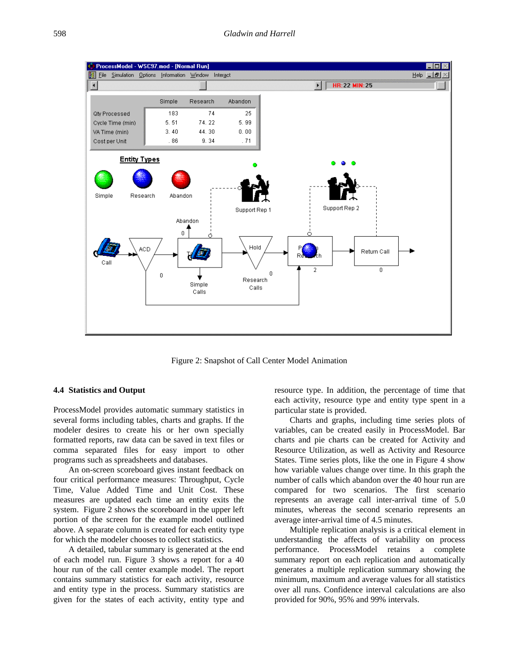

Figure 2: Snapshot of Call Center Model Animation

#### **4.4 Statistics and Output**

ProcessModel provides automatic summary statistics in several forms including tables, charts and graphs. If the modeler desires to create his or her own specially formatted reports, raw data can be saved in text files or comma separated files for easy import to other programs such as spreadsheets and databases.

An on-screen scoreboard gives instant feedback on four critical performance measures: Throughput, Cycle Time, Value Added Time and Unit Cost. These measures are updated each time an entity exits the system. Figure 2 shows the scoreboard in the upper left portion of the screen for the example model outlined above. A separate column is created for each entity type for which the modeler chooses to collect statistics.

A detailed, tabular summary is generated at the end of each model run. Figure 3 shows a report for a 40 hour run of the call center example model. The report contains summary statistics for each activity, resource and entity type in the process. Summary statistics are given for the states of each activity, entity type and resource type. In addition, the percentage of time that each activity, resource type and entity type spent in a particular state is provided.

Charts and graphs, including time series plots of variables, can be created easily in ProcessModel. Bar charts and pie charts can be created for Activity and Resource Utilization, as well as Activity and Resource States. Time series plots, like the one in Figure 4 show how variable values change over time. In this graph the number of calls which abandon over the 40 hour run are compared for two scenarios. The first scenario represents an average call inter-arrival time of 5.0 minutes, whereas the second scenario represents an average inter-arrival time of 4.5 minutes.

Multiple replication analysis is a critical element in understanding the affects of variability on process performance. ProcessModel retains a complete summary report on each replication and automatically generates a multiple replication summary showing the minimum, maximum and average values for all statistics over all runs. Confidence interval calculations are also provided for 90%, 95% and 99% intervals.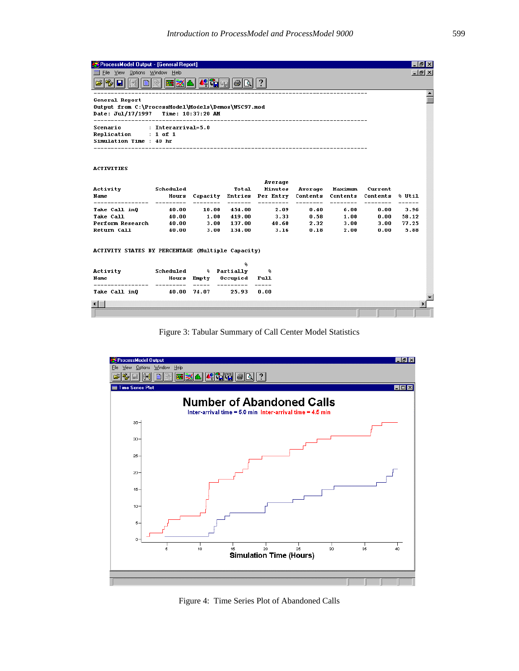| ProcessModel Output - [General Report]                                                                                                          |                                 |                            |                                            |                                         |                                 |                                  |                                 | 16.            |
|-------------------------------------------------------------------------------------------------------------------------------------------------|---------------------------------|----------------------------|--------------------------------------------|-----------------------------------------|---------------------------------|----------------------------------|---------------------------------|----------------|
| File View Options Window Help                                                                                                                   |                                 |                            |                                            |                                         |                                 |                                  |                                 | - 레×           |
| u                                                                                                                                               |                                 |                            |                                            |                                         |                                 |                                  |                                 |                |
| General Report<br>Output from C:\ProcessModel\Models\Demos\WSC97.mod<br>Date: Jul/17/1997 Time: 10:37:20 AM<br>-------------------------------- |                                 |                            |                                            |                                         |                                 |                                  |                                 |                |
| : Interarrival=5.0<br>Scenario<br>Replication : 1 of 1<br>Simulation Time : 40 hr                                                               |                                 |                            |                                            |                                         |                                 |                                  |                                 |                |
| <b>ACTIVITIES</b>                                                                                                                               |                                 |                            |                                            |                                         |                                 |                                  |                                 |                |
| Activity<br>Name<br>----------------                                                                                                            | Scheduled<br>Hours<br>--------- | Capacity<br>--------       | Total<br>-------                           | Average<br>Minutes<br>Entries Per Entry | Average<br>Contents<br>-------- | Maximum<br>Contents<br>--------- | Current<br>Contents<br>-------- | % Util         |
| Take Call in0                                                                                                                                   | 40.00                           | 10.00                      | 454.00                                     | ----------<br>2.09                      | 0.40                            | 6.00                             | 0.00                            | ------<br>3.96 |
| <b>Take Call</b>                                                                                                                                | 40.00                           | $\overline{\mathbf{1.00}}$ | 419.00                                     | 3.33                                    | 0.58                            | 1.00                             | 0.00                            | 58.12          |
| Perform Research                                                                                                                                | 40.00                           | 3.00                       | 137.00                                     | 40.60                                   | 2.32                            | 3.00                             | 3.00                            | 77.25          |
| Return Call                                                                                                                                     | 40.00                           | 3.00                       | 134.00                                     | 3.16                                    | 0.18                            | 2.00                             | 0.00                            | 5.88           |
| ACTIVITY STATES BY PERCENTAGE (Multiple Capacity)                                                                                               |                                 |                            |                                            |                                         |                                 |                                  |                                 |                |
| Activity<br>Name                                                                                                                                | Scheduled<br>-------            | Hours Empty<br>------      | ۰.<br>% Partially<br>Occupied<br>--------- | €<br>Full<br>-----                      |                                 |                                  |                                 |                |
| Take Call inQ                                                                                                                                   | 40.00 74.07                     |                            | 25.93                                      | 0.00                                    |                                 |                                  |                                 |                |
|                                                                                                                                                 |                                 |                            |                                            |                                         |                                 |                                  |                                 |                |
|                                                                                                                                                 |                                 |                            |                                            |                                         |                                 |                                  |                                 |                |

Figure 3: Tabular Summary of Call Center Model Statistics



Figure 4: Time Series Plot of Abandoned Calls